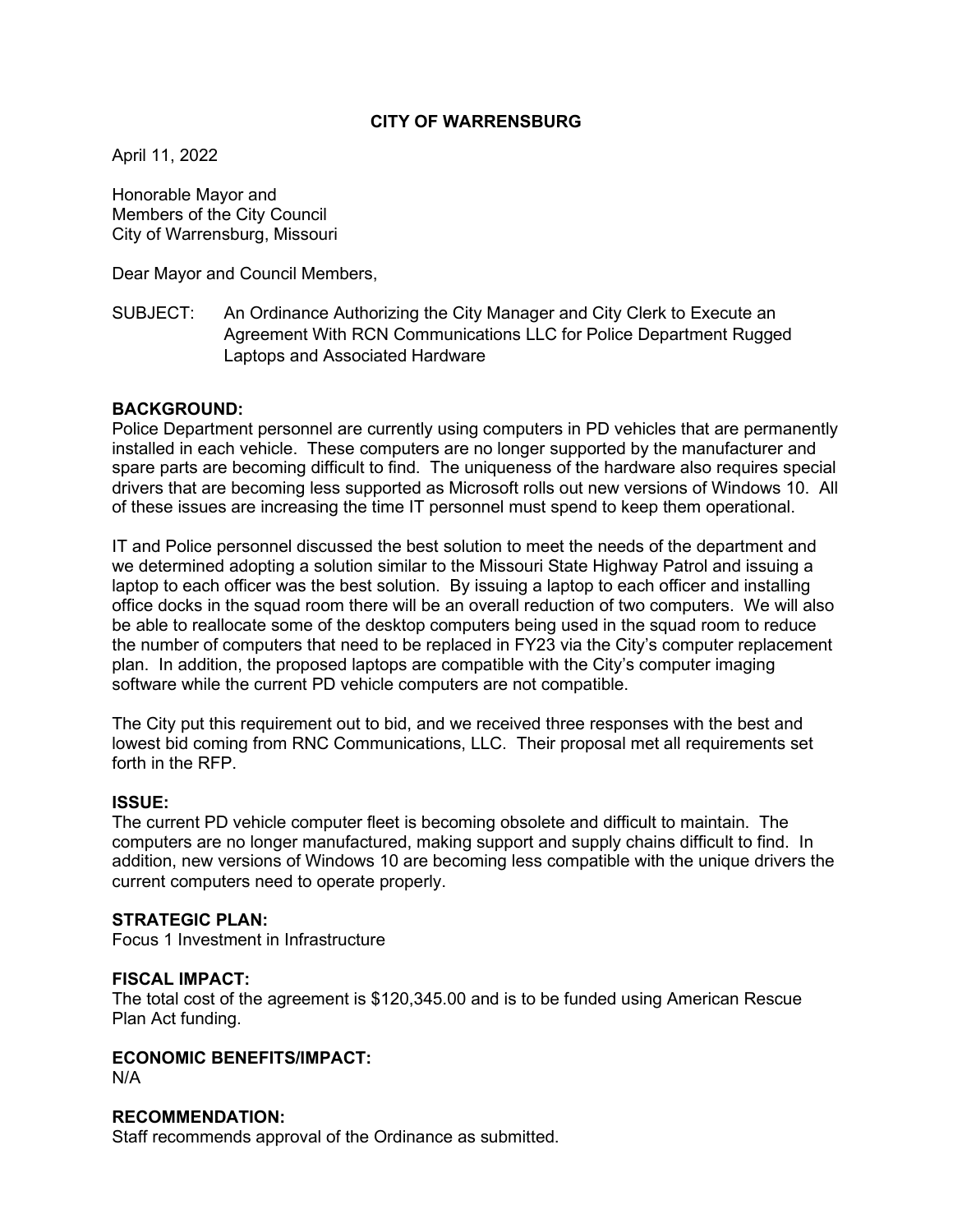# **CITY OF WARRENSBURG**

April 11, 2022

Honorable Mayor and Members of the City Council City of Warrensburg, Missouri

Dear Mayor and Council Members,

SUBJECT: An Ordinance Authorizing the City Manager and City Clerk to Execute an Agreement With RCN Communications LLC for Police Department Rugged Laptops and Associated Hardware

## **BACKGROUND:**

Police Department personnel are currently using computers in PD vehicles that are permanently installed in each vehicle. These computers are no longer supported by the manufacturer and spare parts are becoming difficult to find. The uniqueness of the hardware also requires special drivers that are becoming less supported as Microsoft rolls out new versions of Windows 10. All of these issues are increasing the time IT personnel must spend to keep them operational.

IT and Police personnel discussed the best solution to meet the needs of the department and we determined adopting a solution similar to the Missouri State Highway Patrol and issuing a laptop to each officer was the best solution. By issuing a laptop to each officer and installing office docks in the squad room there will be an overall reduction of two computers. We will also be able to reallocate some of the desktop computers being used in the squad room to reduce the number of computers that need to be replaced in FY23 via the City's computer replacement plan. In addition, the proposed laptops are compatible with the City's computer imaging software while the current PD vehicle computers are not compatible.

The City put this requirement out to bid, and we received three responses with the best and lowest bid coming from RNC Communications, LLC. Their proposal met all requirements set forth in the RFP.

#### **ISSUE:**

The current PD vehicle computer fleet is becoming obsolete and difficult to maintain. The computers are no longer manufactured, making support and supply chains difficult to find. In addition, new versions of Windows 10 are becoming less compatible with the unique drivers the current computers need to operate properly.

#### **STRATEGIC PLAN:**

Focus 1 Investment in Infrastructure

#### **FISCAL IMPACT:**

The total cost of the agreement is \$120,345.00 and is to be funded using American Rescue Plan Act funding.

### **ECONOMIC BENEFITS/IMPACT:**

N/A

#### **RECOMMENDATION:**

Staff recommends approval of the Ordinance as submitted.